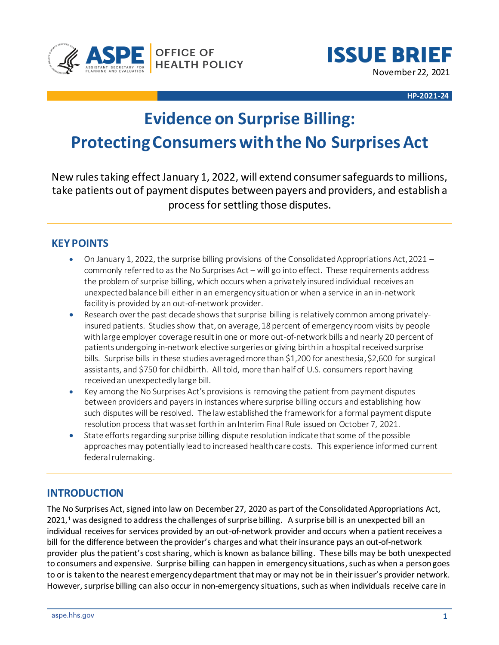



**HP-2021-24**

# **Evidence on Surprise Billing: Protecting Consumers with the No Surprises Act**

New rules taking effect January 1, 2022, will extend consumer safeguards to millions, take patients out of payment disputes between payers and providers, and establish a process for settling those disputes.

## **KEY POINTS**

- On January 1, 2022, the surprise billing provisions of the Consolidated Appropriations Act, 2021 commonly referred to as the No Surprises Act – will go into effect. These requirements address the problem of surprise billing, which occurs when a privately insured individual receivesan unexpectedbalance bill either in an emergency situationor when a service in an in-network facility is provided by an out-of-network provider.
- Research over the past decade shows that surprise billing is relatively common among privatelyinsured patients. Studies show that, on average, 18 percent of emergency room visits by people with large employer coverage result in one or more out-of-network bills and nearly 20 percent of patients undergoing in-network elective surgeries or giving birth in a hospital received surprise bills. Surprise bills in these studies averagedmore than \$1,200 for anesthesia, \$2,600 for surgical assistants, and \$750 for childbirth. All told, more than half of U.S. consumers report having receivedan unexpectedly large bill.
- Key among the No Surprises Act's provisions is removing the patient from payment disputes between providers and payers in instances where surprise billing occurs and establishing how such disputes will be resolved. The law established the framework for a formal payment dispute resolution process that was set forth in an Interim Final Rule issued on October 7, 2021.
- State efforts regarding surprise billing dispute resolution indicate that some of the possible approaches may potentially lead to increased health care costs. This experience informed current federal rulemaking.

# **INTRODUCTION**

The No Surprises Act, signed into law on December 27, 2020 as part of the Consolidated Appropriations Act, 2021,<sup>1</sup> was designed to address the challenges of surprise billing. A surprise bill is an unexpected bill an individual receives for services provided by an out-of-network provider and occurs when a patient receives a bill for the difference between the provider's charges and what their insurance pays an out-of-network provider plus the patient's cost sharing, which is known as balance billing. These bills may be both unexpected to consumers and expensive. Surprise billing can happen in emergency situations, such as when a person goes to or is taken to the nearest emergency department that may or may not be in their issuer's provider network. However, surprise billing can also occur in non-emergency situations, such as when individuals receive care in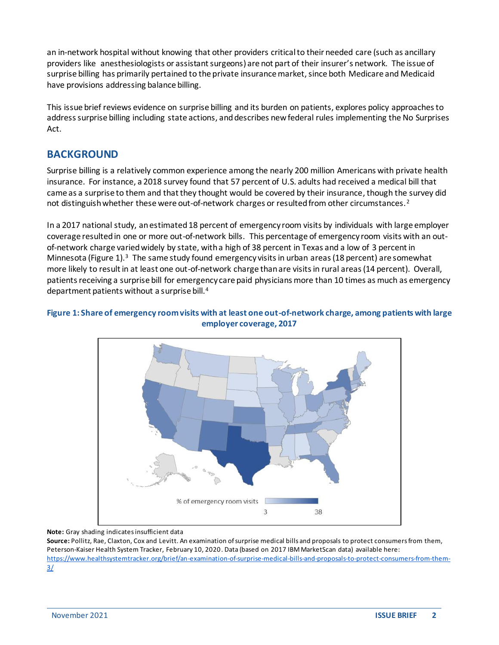an in-network hospital without knowing that other providers critical to their needed care (such as ancillary providers like anesthesiologists or assistant surgeons) are not part of their insurer's network. The issue of surprise billing has primarily pertained to the private insurance market, since both Medicare and Medicaid have provisions addressing balance billing.

This issue brief reviews evidence on surprise billing and its burden on patients, explores policy approaches to address surprise billing including state actions, and describes new federal rules implementing the No Surprises Act.

## **BACKGROUND**

Surprise billing is a relatively common experience among the nearly 200 million Americans with private health insurance. For instance, a 2018 survey found that 57 percent of U.S. adults had received a medical bill that came as a surprise to them and that they thought would be covered by their insurance, though the survey did not distinguish whether these were out-of-network charges or resulted from other circumstances.<sup>2</sup>

In a 2017 national study, an estimated 18 percent of emergency room visits by individuals with large employer coverage resulted in one or more out-of-network bills. This percentage of emergency room visits with an outof-network charge varied widely by state, with a high of 38 percent in Texas and a low of 3 percent in Minnesota (Figure 1).<sup>3</sup> The same study found emergency visits in urban areas (18 percent) are somewhat more likely to result in at least one out-of-network charge than are visits in rural areas (14 percent). Overall, patients receiving a surprise bill for emergency care paid physicians more than 10 times as much as emergency department patients without a surprise bill.<sup>4</sup>

### **Figure 1: Share of emergency room visits with at least one out-of-network charge, among patients with large employer coverage, 2017**



**Note:** Gray shading indicates insufficient data

**Source:** Pollitz, Rae, Claxton, Cox and Levitt. An examination of surprise medical bills and proposals to protect consumers from them, Peterson‐Kaiser Health System Tracker, February 10, 2020. Data (based on 2017 IBM MarketScan data) available here: [https://www.healthsystemtracker.org/brief/an-examination-of-surprise-medical-bills-and-proposals-to-protect-consumers-from-them-](https://www.healthsystemtracker.org/brief/an-examination-of-surprise-medical-bills-and-proposals-to-protect-consumers-from-them-3/)[3/](https://www.healthsystemtracker.org/brief/an-examination-of-surprise-medical-bills-and-proposals-to-protect-consumers-from-them-3/)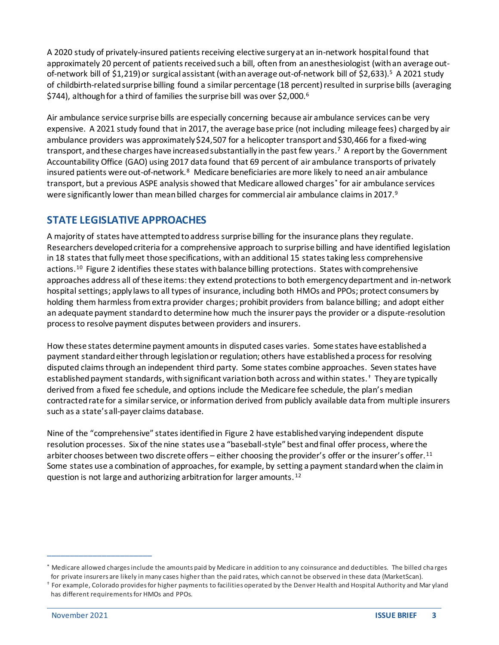A 2020 study of privately-insured patients receiving elective surgery at an in-network hospital found that approximately 20 percent of patients received such a bill, often from an anesthesiologist (with an average outof-network bill of \$1,219) or surgical assistant (with an average out-of-network bill of \$2,633).<sup>5</sup> A 2021 study of childbirth-related surprise billing found a similar percentage (18 percent) resulted in surprise bills (averaging \$744), although for a third of families the surprise bill was over \$2,000. 6

Air ambulance service surprise bills are especially concerning because air ambulance services can be very expensive. A 2021 study found that in 2017, the average base price (not including mileage fees) charged by air ambulance providers was approximately \$24,507 for a helicopter transport and \$30,466 for a fixed‐wing transport, and these charges have increased substantially in the past few years. 7 A report by the Government Accountability Office (GAO) using 2017 data found that 69 percent of air ambulance transports of privately insured patients were out-of-network.<sup>8</sup> Medicare beneficiaries are more likely to need an air ambulance transport, but a previous ASPE analysis showed that Medicare allowed charges\* for air ambulance services were significantly lower than mean billed charges for commercial air ambulance claims in 2017.<sup>9</sup>

# **STATE LEGISLATIVE APPROACHES**

A majority of states have attempted to address surprise billing for the insurance plans they regulate. Researchers developed criteria for a comprehensive approach to surprise billing and have identified legislation in 18 states that fully meet those specifications, with an additional 15 states taking less comprehensive actions. 10 Figure 2 identifies these states with balance billing protections. States with comprehensive approaches address all of these items: they extend protections to both emergency department and in-network hospital settings; apply laws to all types of insurance, including both HMOs and PPOs; protect consumers by holding them harmless from extra provider charges; prohibit providers from balance billing; and adopt either an adequate payment standard to determine how much the insurer pays the provider or a dispute-resolution process to resolve payment disputes between providers and insurers.

How these states determine payment amounts in disputed cases varies. Some states have established a payment standard either through legislation or regulation; others have established a process for resolving disputed claims through an independent third party. Some states combine approaches. Seven states have established payment standards, with significant variation both across and within states.† They are typically derived from a fixed fee schedule, and options include the Medicare fee schedule, the plan's median contracted rate for a similar service, or information derived from publicly available data from multiple insurers such as a state's all-payer claims database.

Nine of the "comprehensive" states identified in Figure 2 have established varying independent dispute resolution processes. Six of the nine states use a "baseball-style" best and final offer process, where the arbiter chooses between two discrete offers – either choosing the provider's offer or the insurer's offer.<sup>11</sup> Some states use a combination of approaches, for example, by setting a payment standard when the claim in question is not large and authorizing arbitration for larger amounts. <sup>12</sup>

\_\_\_\_\_\_\_\_\_\_\_\_\_\_\_\_\_\_\_\_\_\_\_

<sup>\*</sup> Medicare allowed charges include the amounts paid by Medicare in addition to any coinsurance and deductibles. The billed cha rges for private insurers are likely in many cases higher than the paid rates, which cannot be observed in these data (MarketScan).

<sup>†</sup> For example, Colorado provides for higher payments to facilities operated by the Denver Health and Hospital Authority and Mar yland has different requirements for HMOs and PPOs.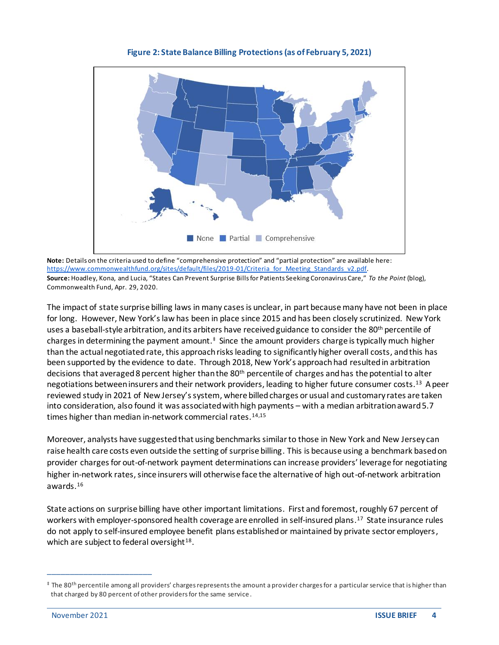

**Figure 2: State Balance Billing Protections (as of February 5, 2021)**

**Note:** Details on the criteria used to define "comprehensive protection" and "partial protection" are available here: [https://www.commonwealthfund.org/sites/default/files/2019-01/Criteria\\_for\\_Meeting\\_Standards\\_v2.pdf](https://www.commonwealthfund.org/sites/default/files/2019-01/Criteria_for_Meeting_Standards_v2.pdf). **Source:** Hoadley, Kona, and Lucia, "States Can Prevent Surprise Bills for Patients Seeking Coronavirus Care," *To the Point* (blog), Commonwealth Fund, Apr. 29, 2020.

The impact of state surprise billing laws in many cases is unclear, in part because many have not been in place for long. However, New York's law has been in place since 2015 and has been closely scrutinized. New York uses a baseball-style arbitration, and its arbiters have received guidance to consider the 80<sup>th</sup> percentile of charges in determining the payment amount.<sup>‡</sup> Since the amount providers charge is typically much higher than the actual negotiated rate, this approach risksleading to significantly higher overall costs, and this has been supported by the evidence to date. Through 2018, New York's approach had resulted in arbitration decisions that averaged 8 percent higher than the 80<sup>th</sup> percentile of charges and has the potential to alter negotiations between insurers and their network providers, leading to higher future consumer costs.<sup>13</sup> A peer reviewed study in 2021 of New Jersey's system, where billed charges or usual and customary rates are taken into consideration, also found it was associated with high payments – with a median arbitration award 5.7 times higher than median in-network commercial rates.14,15

Moreover, analysts have suggestedthat using benchmarks similar to those in New York and New Jersey can raise health care costs even outside the setting of surprise billing. This is because using a benchmark based on provider charges for out-of-network payment determinations can increase providers' leverage for negotiating higher in-network rates, since insurers will otherwise face the alternative of high out-of-network arbitration awards. 16

State actions on surprise billing have other important limitations. First and foremost, roughly 67 percent of workers with employer-sponsored health coverage are enrolled in self-insured plans.<sup>17</sup> State insurance rules do not apply to self‐insured employee benefit plans established or maintained by private sector employers, which are subject to federal oversight<sup>18</sup>.

\_\_\_\_\_\_\_\_\_\_\_\_\_\_\_\_\_\_\_\_\_\_\_

<sup>‡</sup> The 80th percentile among all providers' charges represents the amount a provider charges for a particular service that is higher than that charged by 80 percent of other providers for the same service .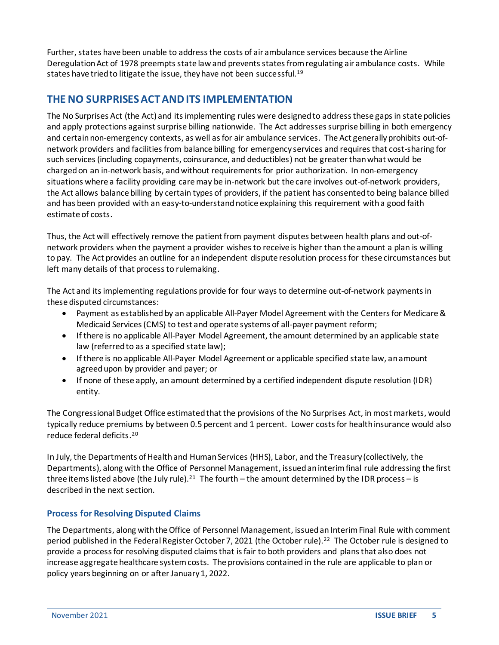Further, states have been unable to address the costs of air ambulance services because the Airline Deregulation Act of 1978 preempts state law and prevents states from regulating air ambulance costs. While states have tried to litigate the issue, they have not been successful.<sup>19</sup>

# **THE NO SURPRISES ACTAND ITS IMPLEMENTATION**

The No Surprises Act (the Act) and its implementing rules were designed to address these gaps in state policies and apply protections against surprise billing nationwide. The Act addresses surprise billing in both emergency and certain non-emergency contexts, as well as for air ambulance services. The Act generally prohibits out-ofnetwork providers and facilities from balance billing for emergency services and requires that cost-sharing for such services(including copayments, coinsurance, and deductibles) not be greater than what would be charged on an in-network basis, and without requirements for prior authorization. In non-emergency situations where a facility providing care may be in-network but the care involves out-of-network providers, the Act allows balance billing by certain types of providers, if the patient has consentedto being balance billed and has been provided with an easy-to-understand notice explaining this requirement with a good faith estimate of costs.

Thus, the Act will effectively remove the patient from payment disputes between health plans and out-ofnetwork providers when the payment a provider wishes to receive is higher than the amount a plan is willing to pay. The Act provides an outline for an independent dispute resolution process for these circumstances but left many details of that process to rulemaking.

The Act and its implementing regulations provide for four ways to determine out-of-network paymentsin these disputed circumstances:

- Payment as established by an applicable All-Payer Model Agreement with the Centers for Medicare & Medicaid Services (CMS) to test and operate systems of all-payer payment reform;
- If there is no applicable All-Payer Model Agreement, the amount determined by an applicable state law (referred to as a specified state law);
- If there is no applicable All-Payer Model Agreement or applicable specified state law, an amount agreed upon by provider and payer; or
- If none of these apply, an amount determined by a certified independent dispute resolution (IDR) entity.

The Congressional Budget Office estimated that the provisions of the No Surprises Act, in most markets, would typically reduce premiums by between 0.5 percent and 1 percent. Lower costs for health insurance would also reduce federal deficits. 20

In July, the Departments of Health and Human Services (HHS), Labor, and the Treasury (collectively, the Departments), along with the Office of Personnel Management, issued an interim final rule addressing the first three items listed above (the July rule).<sup>21</sup> The fourth – the amount determined by the IDR process – is described in the next section.

## **Process for Resolving Disputed Claims**

The Departments, along with the Office of Personnel Management, issued an Interim Final Rule with comment period published in the Federal Register October 7, 2021 (the October rule). 22 The October rule is designed to provide a process for resolving disputed claims that is fair to both providers and plansthat also does not increase aggregate healthcare system costs. The provisions contained in the rule are applicable to plan or policy years beginning on or after January 1, 2022.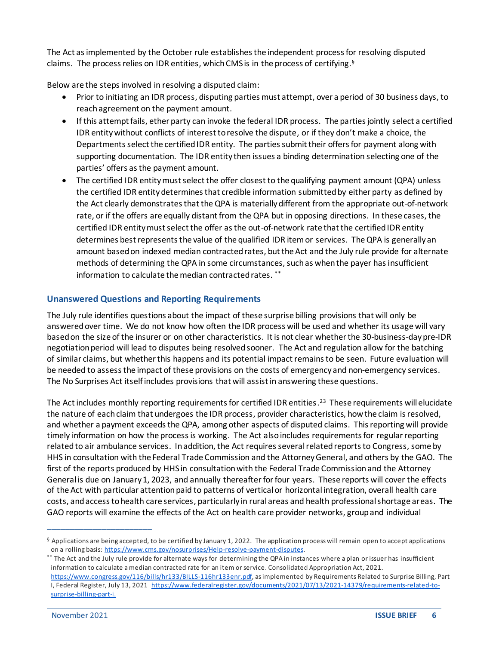The Act as implemented by the October rule establishes the independent process for resolving disputed claims. The process relies on IDR entities, which CMS is in the process of certifying.<sup>§</sup>

Below are the steps involved in resolving a disputed claim:

- Prior to initiating an IDR process, disputing parties must attempt, over a period of 30 business days, to reach agreement on the payment amount.
- If this attempt fails, ether party can invoke the federal IDR process. The parties jointly select a certified IDR entity without conflicts of interest to resolve the dispute, or if they don't make a choice, the Departmentsselect the certified IDR entity. The parties submit their offers for payment along with supporting documentation. The IDR entity then issues a binding determination selecting one of the parties' offers as the payment amount.
- The certified IDR entity must select the offer closest to the qualifying payment amount (QPA) unless the certified IDR entity determines that credible information submitted by either party as defined by the Act clearly demonstrates that the QPA is materially different from the appropriate out-of-network rate, or if the offers are equally distant from the QPA but in opposing directions. In these cases, the certified IDR entity must select the offer as the out-of-network rate that the certified IDR entity determines best represents the value of the qualified IDR item or services. The QPA is generally an amount based on indexed median contracted rates, but the Act and the July rule provide for alternate methods of determining the QPA in some circumstances, such as when the payer has insufficient information to calculate the median contracted rates. \*\*

## **Unanswered Questions and Reporting Requirements**

The July rule identifies questions about the impact of these surprise billing provisions that will only be answered over time. We do not know how often the IDR process will be used and whether its usage will vary based on the size of the insurer or on other characteristics. Itis not clear whether the 30-business-daypre-IDR negotiation period will lead to disputes being resolved sooner. The Act and regulation allow for the batching of similar claims, but whether this happens and its potential impactremains to be seen. Future evaluation will be needed to assess the impact of these provisions on the costs of emergency and non-emergency services. The No Surprises Act itself includes provisions that will assist in answering these questions.

The Act includes monthly reporting requirements for certified IDR entities. 23 These requirements will elucidate the nature of each claim that undergoes the IDR process, provider characteristics, how the claim isresolved, and whether a payment exceeds the QPA, among other aspects of disputed claims. This reporting will provide timely information on how the process is working. The Act also includes requirements for regular reporting related to air ambulance services. In addition, the Act requires severalrelated reports to Congress, some by HHS in consultation with the Federal Trade Commission and the Attorney General, and others by the GAO. The first of the reports produced by HHS in consultation with the Federal Trade Commission and the Attorney General is due on January 1, 2023, and annually thereafter for four years. These reports will cover the effects of the Act with particular attention paid to patterns of vertical or horizontal integration, overall health care costs, and access to health care services, particularly in rural areas and health professional shortage areas. The GAO reports will examine the effects of the Act on health care provider networks, group and individual

\_\_\_\_\_\_\_\_\_\_\_\_\_\_\_\_\_\_\_\_\_\_\_

 $§$  Applications are being accepted, to be certified by January 1, 2022. The application process will remain open to accept applications on a rolling basis: [https://www.cms.gov/nosurprises/Help-resolve-payment-disputes.](https://www.cms.gov/nosurprises/Help-resolve-payment-disputes)

<sup>\*\*</sup> The Act and the July rule provide for alternate ways for determining the QPA in instances where a plan or issuer has insufficient information to calculate a median contracted rate for an item or service. Consolidated Appropriation Act, 2021.

<https://www.congress.gov/116/bills/hr133/BILLS-116hr133enr.pdf>, as implemented by Requirements Related to Surprise Billing, Part I, Federal Register, July 13, 202[1 https://www.federalregister.gov/documents/2021/07/13/2021-14379/requirements-related-to](https://www.federalregister.gov/documents/2021/07/13/2021-14379/requirements-related-to-surprise-billing-part-i)[surprise-billing-part-i.](https://www.federalregister.gov/documents/2021/07/13/2021-14379/requirements-related-to-surprise-billing-part-i)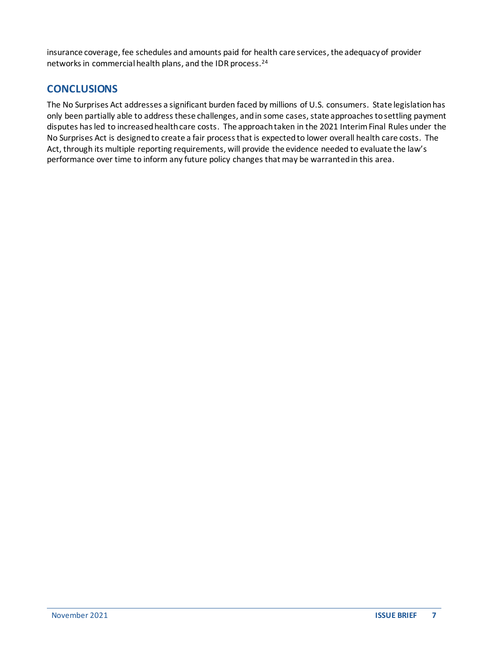insurance coverage, fee schedules and amounts paid for health care services, the adequacy of provider networks in commercial health plans, and the IDR process.<sup>24</sup>

## **CONCLUSIONS**

The No Surprises Act addresses a significant burden faced by millions of U.S. consumers. State legislation has only been partially able to addressthese challenges, and in some cases, state approaches to settling payment disputes has led to increased health care costs. The approach taken in the 2021 Interim Final Rules under the No Surprises Act is designed to create a fair process that is expected to lower overall health care costs. The Act, through its multiple reporting requirements, will provide the evidence needed to evaluate the law's performance over time to inform any future policy changes that may be warranted in this area.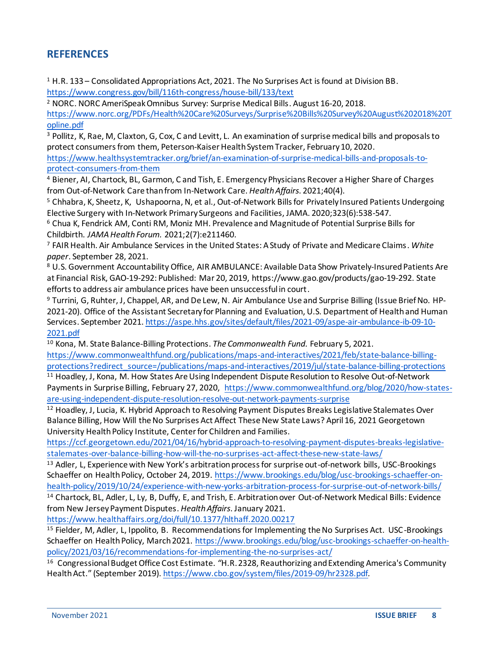# **REFERENCES**

 $1$  H.R. 133 – Consolidated Appropriations Act, 2021. The No Surprises Act is found at Division BB. <https://www.congress.gov/bill/116th-congress/house-bill/133/text>

<sup>2</sup> NORC. NORC AmeriSpeak Omnibus Survey: Surprise Medical Bills. August 16-20, 2018.

[https://www.norc.org/PDFs/Health%20Care%20Surveys/Surprise%20Bills%20Survey%20August%202018%20T](https://www.norc.org/PDFs/Health%20Care%20Surveys/Surprise%20Bills%20Survey%20August%202018%20Topline.pdf) [opline.pdf](https://www.norc.org/PDFs/Health%20Care%20Surveys/Surprise%20Bills%20Survey%20August%202018%20Topline.pdf)

<sup>3</sup> Pollitz, K, Rae, M, Claxton, G, Cox, C and Levitt, L. An examination of surprise medical bills and proposals to protect consumers from them, Peterson‐Kaiser Health System Tracker, February 10, 2020.

[https://www.healthsystemtracker.org/brief/an-examination-of-surprise-medical-bills-and-proposals-to](https://www.healthsystemtracker.org/brief/an-examination-of-surprise-medical-bills-and-proposals-to-protect-consumers-from-them)[protect-consumers-from-them](https://www.healthsystemtracker.org/brief/an-examination-of-surprise-medical-bills-and-proposals-to-protect-consumers-from-them)

<sup>4</sup> Biener, AI, Chartock, BL, Garmon, C and Tish, E. Emergency Physicians Recover a Higher Share of Charges from Out-of-Network Care than from In-Network Care. *Health Affairs*. 2021;40(4).

<sup>5</sup> Chhabra, K, Sheetz, K, Ushapoorna, N, et al., Out-of-Network Bills for Privately Insured Patients Undergoing Elective Surgery with In-Network Primary Surgeons and Facilities, JAMA. 2020;323(6):538-547.

<sup>6</sup> Chua K, Fendrick AM, Conti RM, Moniz MH. Prevalence and Magnitude of Potential Surprise Bills for Childbirth. *JAMA Health Forum.* 2021;2(7):e211460.

<sup>7</sup> FAIR Health. Air Ambulance Services in the United States: A Study of Private and Medicare Claims. *White paper*. September 28, 2021.

<sup>8</sup> U.S. Government Accountability Office, AIR AMBULANCE: Available Data Show Privately‐Insured Patients Are at Financial Risk, GAO‐19‐292: Published: Mar 20, 2019, https://www.gao.gov/products/gao‐19‐292. State efforts to address air ambulance prices have been unsuccessful in court.

<sup>9</sup> Turrini, G, Ruhter, J, Chappel, AR, and De Lew, N. Air Ambulance Use and Surprise Billing (Issue Brief No. HP-2021-20). Office of the Assistant Secretary for Planning and Evaluation, U.S. Department of Health and Human Services. September 2021[. https://aspe.hhs.gov/sites/default/files/2021-09/aspe-air-ambulance-ib-09-10-](https://aspe.hhs.gov/sites/default/files/2021-09/aspe-air-ambulance-ib-09-10-2021.pdf) [2021.pdf](https://aspe.hhs.gov/sites/default/files/2021-09/aspe-air-ambulance-ib-09-10-2021.pdf)

<sup>10</sup> Kona, M. State Balance-Billing Protections. *The Commonwealth Fund.* February 5, 2021.

[https://www.commonwealthfund.org/publications/maps-and-interactives/2021/feb/state-balance-billing](https://www.commonwealthfund.org/publications/maps-and-interactives/2021/feb/state-balance-billing-protections?redirect_source=/publications/maps-and-interactives/2019/jul/state-balance-billing-protections)[protections?redirect\\_source=/publications/maps-and-interactives/2019/jul/state-balance-billing-protections](https://www.commonwealthfund.org/publications/maps-and-interactives/2021/feb/state-balance-billing-protections?redirect_source=/publications/maps-and-interactives/2019/jul/state-balance-billing-protections)

<sup>11</sup> Hoadley, J, Kona, M. How States Are Using Independent Dispute Resolution to Resolve Out-of-Network Payments in Surprise Billing, February 27, 2020, [https://www.commonwealthfund.org/blog/2020/how-states](https://www.commonwealthfund.org/blog/2020/how-states-are-using-independent-dispute-resolution-resolve-out-network-payments-surprise)[are-using-independent-dispute-resolution-resolve-out-network-payments-surprise](https://www.commonwealthfund.org/blog/2020/how-states-are-using-independent-dispute-resolution-resolve-out-network-payments-surprise)

<sup>12</sup> Hoadley, J, Lucia, K. Hybrid Approach to Resolving Payment Disputes Breaks Legislative Stalemates Over Balance Billing, How Will the No Surprises Act Affect These New State Laws? April 16, 2021 Georgetown University Health Policy Institute, Center for Children and Families.

[https://ccf.georgetown.edu/2021/04/16/hybrid-approach-to-resolving-payment-disputes-breaks-legislative](https://ccf.georgetown.edu/2021/04/16/hybrid-approach-to-resolving-payment-disputes-breaks-legislative-stalemates-over-balance-billing-how-will-the-no-surprises-act-affect-these-new-state-laws/)[stalemates-over-balance-billing-how-will-the-no-surprises-act-affect-these-new-state-laws/](https://ccf.georgetown.edu/2021/04/16/hybrid-approach-to-resolving-payment-disputes-breaks-legislative-stalemates-over-balance-billing-how-will-the-no-surprises-act-affect-these-new-state-laws/)

<sup>13</sup> Adler, L, Experience with New York's arbitration process for surprise out-of-network bills, USC-Brookings Schaeffer on Health Policy, October 24, 2019. [https://www.brookings.edu/blog/usc-brookings-schaeffer-on](https://www.brookings.edu/blog/usc-brookings-schaeffer-on-health-policy/2019/10/24/experience-with-new-yorks-arbitration-process-for-surprise-out-of-network-bills/)[health-policy/2019/10/24/experience-with-new-yorks-arbitration-process-for-surprise-out-of-network-bills/](https://www.brookings.edu/blog/usc-brookings-schaeffer-on-health-policy/2019/10/24/experience-with-new-yorks-arbitration-process-for-surprise-out-of-network-bills/)

<sup>14</sup> Chartock, BL, Adler, L, Ly, B, Duffy, E, and Trish, E. Arbitration over Out-of-Network Medical Bills: Evidence from New Jersey Payment Disputes. *Health Affairs*. January 2021.

<https://www.healthaffairs.org/doi/full/10.1377/hlthaff.2020.00217>

<sup>15</sup> Fielder, M, Adler, L, Ippolito, B. Recommendations for Implementing the No Surprises Act. USC-Brookings Schaeffer on Health Policy, March 2021. [https://www.brookings.edu/blog/usc-brookings-schaeffer-on-health](https://www.brookings.edu/blog/usc-brookings-schaeffer-on-health-policy/2021/03/16/recommendations-for-implementing-the-no-surprises-act/)[policy/2021/03/16/recommendations-for-implementing-the-no-surprises-act/](https://www.brookings.edu/blog/usc-brookings-schaeffer-on-health-policy/2021/03/16/recommendations-for-implementing-the-no-surprises-act/)

<sup>16</sup> Congressional Budget Office Cost Estimate*. "*H.R. 2328, Reauthorizing and Extending America's Community Health Act." (September 2019). <https://www.cbo.gov/system/files/2019-09/hr2328.pdf>*.*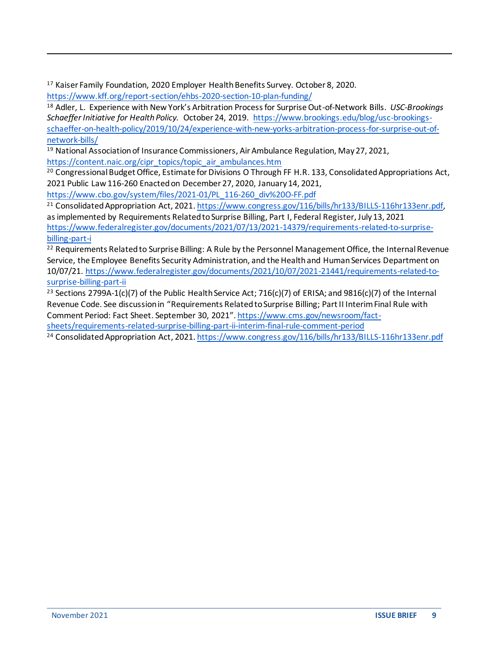<sup>17</sup> Kaiser Family Foundation, 2020 Employer Health Benefits Survey. October 8, 2020. <https://www.kff.org/report-section/ehbs-2020-section-10-plan-funding/>

<sup>18</sup> Adler, L. Experience with New York's Arbitration Process for Surprise Out-of-Network Bills. *USC-Brookings Schaeffer Initiative for Health Policy.* October 24, 2019. [https://www.brookings.edu/blog/usc-brookings](https://www.brookings.edu/blog/usc-brookings-schaeffer-on-health-policy/2019/10/24/experience-with-new-yorks-arbitration-process-for-surprise-out-of-network-bills/)[schaeffer-on-health-policy/2019/10/24/experience-with-new-yorks-arbitration-process-for-surprise-out-of](https://www.brookings.edu/blog/usc-brookings-schaeffer-on-health-policy/2019/10/24/experience-with-new-yorks-arbitration-process-for-surprise-out-of-network-bills/)[network-bills/](https://www.brookings.edu/blog/usc-brookings-schaeffer-on-health-policy/2019/10/24/experience-with-new-yorks-arbitration-process-for-surprise-out-of-network-bills/)

<sup>19</sup> National Association of Insurance Commissioners, Air Ambulance Regulation, May 27, 2021, [https://content.naic.org/cipr\\_topics/topic\\_air\\_ambulances.htm](https://content.naic.org/cipr_topics/topic_air_ambulances.htm)

<sup>20</sup> Congressional Budget Office, Estimate for Divisions O Through FF H.R. 133, Consolidated Appropriations Act, 2021 Public Law 116-260 Enacted on December 27, 2020, January 14, 2021,

[https://www.cbo.gov/system/files/2021-01/PL\\_116-260\\_div%20O-FF.pdf](https://www.cbo.gov/system/files/2021-01/PL_116-260_div%20O-FF.pdf)

<sup>21</sup> Consolidated Appropriation Act, 2021[. https://www.congress.gov/116/bills/hr133/BILLS-116hr133enr.pdf](https://www.congress.gov/116/bills/hr133/BILLS-116hr133enr.pdf), as implemented by Requirements Related to Surprise Billing, Part I, Federal Register, July 13, 2021 [https://www.federalregister.gov/documents/2021/07/13/2021-14379/requirements-related-to-surprise](https://www.federalregister.gov/documents/2021/07/13/2021-14379/requirements-related-to-surprise-billing-part-i)[billing-part-i](https://www.federalregister.gov/documents/2021/07/13/2021-14379/requirements-related-to-surprise-billing-part-i)

<sup>22</sup> Requirements Related to Surprise Billing: A Rule by the Personnel Management Office, the Internal Revenue Service, the Employee Benefits Security Administration, and the Health and Human Services Department on 10/07/21. [https://www.federalregister.gov/documents/2021/10/07/2021-21441/requirements-related-to](https://www.federalregister.gov/documents/2021/10/07/2021-21441/requirements-related-to-surprise-billing-part-ii)[surprise-billing-part-ii](https://www.federalregister.gov/documents/2021/10/07/2021-21441/requirements-related-to-surprise-billing-part-ii)

<sup>23</sup> Sections 2799A-1(c)(7) of the Public Health Service Act; 716(c)(7) of ERISA; and 9816(c)(7) of the Internal Revenue Code. See discussion in "Requirements Related to Surprise Billing; Part II Interim Final Rule with Comment Period: Fact Sheet. September 30, 2021"[. https://www.cms.gov/newsroom/fact](https://www.cms.gov/newsroom/fact-sheets/requirements-related-surprise-billing-part-ii-interim-final-rule-comment-period)[sheets/requirements-related-surprise-billing-part-ii-interim-final-rule-comment-period](https://www.cms.gov/newsroom/fact-sheets/requirements-related-surprise-billing-part-ii-interim-final-rule-comment-period)

<sup>24</sup> Consolidated Appropriation Act, 2021[. https://www.congress.gov/116/bills/hr133/BILLS-116hr133enr.pdf](https://www.congress.gov/116/bills/hr133/BILLS-116hr133enr.pdf)